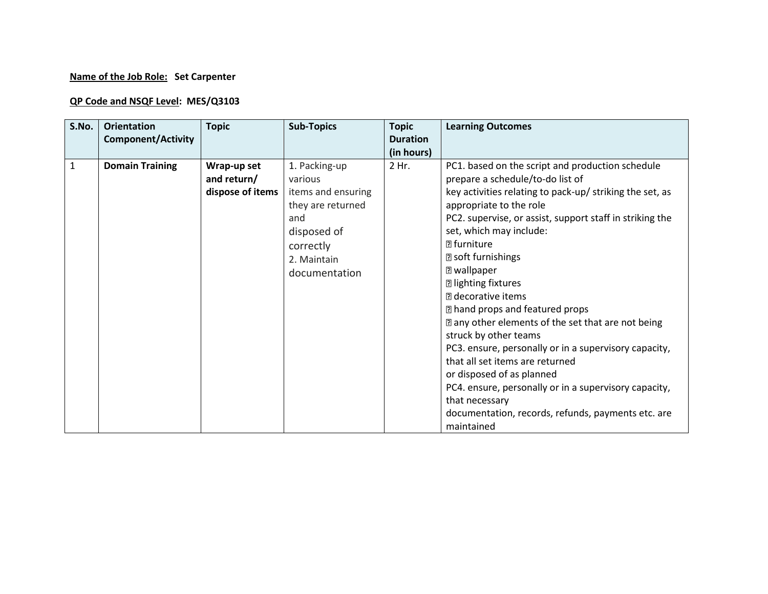## **Name of the Job Role: Set Carpenter**

## **QP Code and NSQF Level: MES/Q3103**

| S.No.        | <b>Orientation</b>        | <b>Topic</b>                                   | <b>Sub-Topics</b>                                                                                                                      | <b>Topic</b>        | <b>Learning Outcomes</b>                                                                                                                                                                                                                                                                                                                                                                                                                                                                                                                                                                                                                                                                                                                                                              |
|--------------|---------------------------|------------------------------------------------|----------------------------------------------------------------------------------------------------------------------------------------|---------------------|---------------------------------------------------------------------------------------------------------------------------------------------------------------------------------------------------------------------------------------------------------------------------------------------------------------------------------------------------------------------------------------------------------------------------------------------------------------------------------------------------------------------------------------------------------------------------------------------------------------------------------------------------------------------------------------------------------------------------------------------------------------------------------------|
|              | <b>Component/Activity</b> |                                                |                                                                                                                                        | <b>Duration</b>     |                                                                                                                                                                                                                                                                                                                                                                                                                                                                                                                                                                                                                                                                                                                                                                                       |
| $\mathbf{1}$ | <b>Domain Training</b>    | Wrap-up set<br>and return/<br>dispose of items | 1. Packing-up<br>various<br>items and ensuring<br>they are returned<br>and<br>disposed of<br>correctly<br>2. Maintain<br>documentation | (in hours)<br>2 Hr. | PC1. based on the script and production schedule<br>prepare a schedule/to-do list of<br>key activities relating to pack-up/ striking the set, as<br>appropriate to the role<br>PC2. supervise, or assist, support staff in striking the<br>set, which may include:<br><b>团 furniture</b><br>$\Box$ soft furnishings<br><b>Z</b> wallpaper<br><b>D</b> lighting fixtures<br>a decorative items<br>I hand props and featured props<br>any other elements of the set that are not being<br>struck by other teams<br>PC3. ensure, personally or in a supervisory capacity,<br>that all set items are returned<br>or disposed of as planned<br>PC4. ensure, personally or in a supervisory capacity,<br>that necessary<br>documentation, records, refunds, payments etc. are<br>maintained |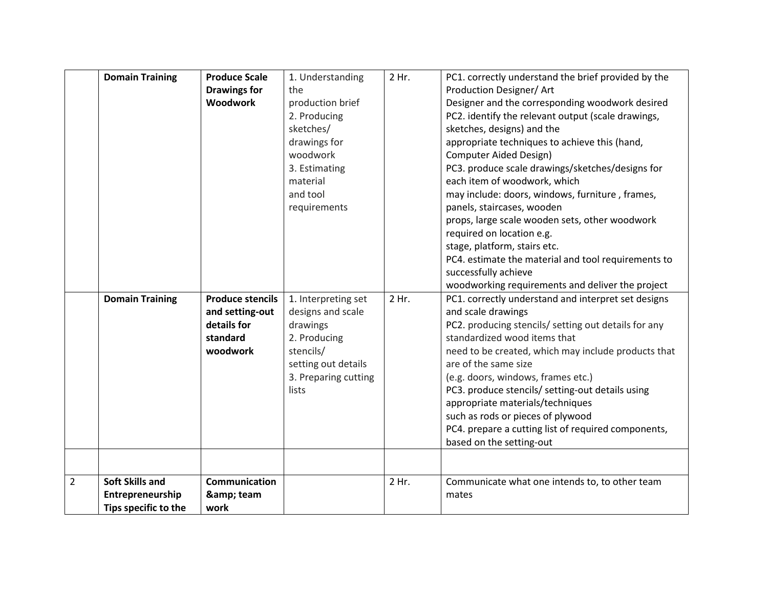|                | <b>Domain Training</b> | <b>Produce Scale</b>    | 1. Understanding     | 2 Hr. | PC1. correctly understand the brief provided by the  |
|----------------|------------------------|-------------------------|----------------------|-------|------------------------------------------------------|
|                |                        | <b>Drawings for</b>     | the                  |       | Production Designer/ Art                             |
|                |                        | <b>Woodwork</b>         | production brief     |       | Designer and the corresponding woodwork desired      |
|                |                        |                         | 2. Producing         |       | PC2. identify the relevant output (scale drawings,   |
|                |                        |                         | sketches/            |       | sketches, designs) and the                           |
|                |                        |                         | drawings for         |       | appropriate techniques to achieve this (hand,        |
|                |                        |                         | woodwork             |       | <b>Computer Aided Design)</b>                        |
|                |                        |                         | 3. Estimating        |       | PC3. produce scale drawings/sketches/designs for     |
|                |                        |                         | material             |       | each item of woodwork, which                         |
|                |                        |                         | and tool             |       | may include: doors, windows, furniture, frames,      |
|                |                        |                         | requirements         |       | panels, staircases, wooden                           |
|                |                        |                         |                      |       | props, large scale wooden sets, other woodwork       |
|                |                        |                         |                      |       | required on location e.g.                            |
|                |                        |                         |                      |       | stage, platform, stairs etc.                         |
|                |                        |                         |                      |       | PC4. estimate the material and tool requirements to  |
|                |                        |                         |                      |       | successfully achieve                                 |
|                |                        |                         |                      |       | woodworking requirements and deliver the project     |
|                | <b>Domain Training</b> | <b>Produce stencils</b> | 1. Interpreting set  | 2 Hr. | PC1. correctly understand and interpret set designs  |
|                |                        | and setting-out         | designs and scale    |       | and scale drawings                                   |
|                |                        | details for             | drawings             |       | PC2. producing stencils/ setting out details for any |
|                |                        | standard                | 2. Producing         |       | standardized wood items that                         |
|                |                        | woodwork                | stencils/            |       | need to be created, which may include products that  |
|                |                        |                         | setting out details  |       | are of the same size                                 |
|                |                        |                         | 3. Preparing cutting |       | (e.g. doors, windows, frames etc.)                   |
|                |                        |                         | lists                |       | PC3. produce stencils/ setting-out details using     |
|                |                        |                         |                      |       | appropriate materials/techniques                     |
|                |                        |                         |                      |       | such as rods or pieces of plywood                    |
|                |                        |                         |                      |       | PC4. prepare a cutting list of required components,  |
|                |                        |                         |                      |       | based on the setting-out                             |
|                |                        |                         |                      |       |                                                      |
|                |                        |                         |                      |       |                                                      |
| $\overline{2}$ | <b>Soft Skills and</b> | <b>Communication</b>    |                      | 2 Hr. | Communicate what one intends to, to other team       |
|                | Entrepreneurship       | & team                  |                      |       | mates                                                |
|                | Tips specific to the   | work                    |                      |       |                                                      |